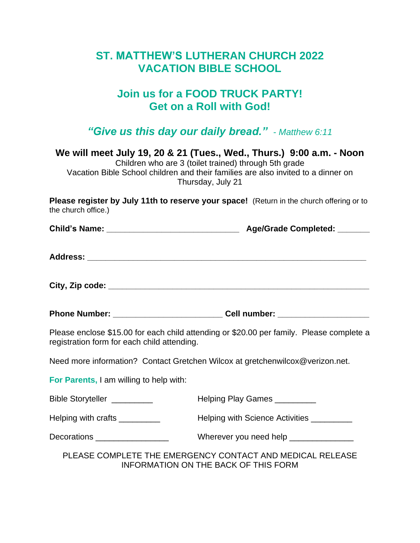## **ST. MATTHEW'S LUTHERAN CHURCH 2022 VACATION BIBLE SCHOOL**

## **Join us for a FOOD TRUCK PARTY! Get on a Roll with God!**

*"Give us this day our daily bread."* - *Matthew 6:11*

**We will meet July 19, 20 & 21 (Tues., Wed., Thurs.) 9:00 a.m. - Noon**

Children who are 3 (toilet trained) through 5th grade Vacation Bible School children and their families are also invited to a dinner on Thursday, July 21

**Please register by July 11th to reserve your space!** (Return in the church offering or to the church office.)

| <b>Child's Name:</b> |  | <b>Age/Grade Completed:</b> |  |
|----------------------|--|-----------------------------|--|
|----------------------|--|-----------------------------|--|

| <b>Address:</b> |  |  |  |
|-----------------|--|--|--|
|                 |  |  |  |

**City, Zip code: \_\_\_\_\_\_\_\_\_\_\_\_\_\_\_\_\_\_\_\_\_\_\_\_\_\_\_\_\_\_\_\_\_\_\_\_\_\_\_\_\_\_\_\_\_\_\_\_\_\_\_\_\_\_\_\_\_**

**Phone Number: \_\_\_\_\_\_\_\_\_\_\_\_\_\_\_\_\_\_\_\_\_\_\_\_ Cell number: \_\_\_\_\_\_\_\_\_\_\_\_\_\_\_\_\_\_\_\_**

Please enclose \$15.00 for each child attending or \$20.00 per family. Please complete a registration form for each child attending.

Need more information? Contact Gretchen Wilcox at gretchenwilcox@verizon.net.

**For Parents,** I am willing to help with:

| Bible Storyteller _________ | Helping Play Games _________                                                                      |
|-----------------------------|---------------------------------------------------------------------------------------------------|
| Helping with crafts         | Helping with Science Activities                                                                   |
|                             | Wherever you need help ________________                                                           |
|                             | PLEASE COMPLETE THE EMERGENCY CONTACT AND MEDICAL RELEASE<br>INFORMATION ON THE BACK OF THIS FORM |